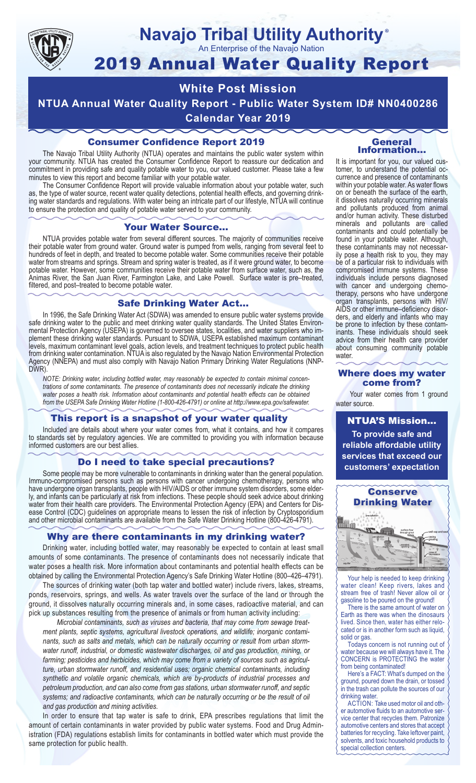

## **Navajo Tribal Utility Authority** ®

An Enterprise of the Navajo Nation

# 2019 Annual Water Quality Report

# **White Post Mission NTUA Annual Water Quality Report - Public Water System ID# NN0400286**

**Calendar Year 2019**

# Consumer Confidence Report 2019

The Navajo Tribal Utility Authority (NTUA) operates and maintains the public water system within your community. NTUA has created the Consumer Confidence Report to reassure our dedication and commitment in providing safe and quality potable water to you, our valued customer. Please take a few minutes to view this report and become familiar with your potable water.

The Consumer Confidence Report will provide valuable information about your potable water, such as, the type of water source, recent water quality detections, potential health effects, and governing drinking water standards and regulations. With water being an intricate part of our lifestyle, NTUA will continue to ensure the protection and quality of potable water served to your community.

#### Your Water Source…

NTUA provides potable water from several different sources. The majority of communities receive their potable water from ground water. Ground water is pumped from wells, ranging from several feet to hundreds of feet in depth, and treated to become potable water. Some communities receive their potable water from streams and springs. Stream and spring water is treated, as if it were ground water, to become potable water. However, some communities receive their potable water from surface water, such as, the Animas River, the San Juan River, Farmington Lake, and Lake Powell. Surface water is pre–treated, filtered, and post–treated to become potable water.

### Safe Drinking Water Act…

In 1996, the Safe Drinking Water Act (SDWA) was amended to ensure public water systems provide safe drinking water to the public and meet drinking water quality standards. The United States Environmental Protection Agency (USEPA) is governed to oversee states, localities, and water suppliers who implement these drinking water standards. Pursuant to SDWA, USEPA established maximum contaminant levels, maximum contaminant level goals, action levels, and treatment techniques to protect public health from drinking water contamination. NTUA is also regulated by the Navajo Nation Environmental Protection Agency (NNEPA) and must also comply with Navajo Nation Primary Drinking Water Regulations (NNP-DWR)

*NOTE: Drinking water, including bottled water, may reasonably be expected to contain minimal concentrations of some contaminants. The presence of contaminants does not necessarily indicate the drinking water poses a health risk. Information about contaminants and potential health effects can be obtained from the USEPA Safe Drinking Water Hotline (1-800-426-4791) or online at http://www.epa.gov/safewater.*

### This report is a snapshot of your water quality

Included are details about where your water comes from, what it contains, and how it compares to standards set by regulatory agencies. We are committed to providing you with information because informed customers are our best allies.

## Do I need to take special precautions?

Some people may be more vulnerable to contaminants in drinking water than the general population. Immuno-compromised persons such as persons with cancer undergoing chemotherapy, persons who have undergone organ transplants, people with HIV/AIDS or other immune system disorders, some elderly, and infants can be particularly at risk from infections. These people should seek advice about drinking water from their health care providers. The Environmental Protection Agency (EPA) and Centers for Disease Control (CDC) guidelines on appropriate means to lessen the risk of infection by Cryptosporidium and other microbial contaminants are available from the Safe Water Drinking Hotline (800-426-4791).

# Why are there contaminants in my drinking water?

Drinking water, including bottled water, may reasonably be expected to contain at least small amounts of some contaminants. The presence of contaminants does not necessarily indicate that water poses a health risk. More information about contaminants and potential health effects can be obtained by calling the Environmental Protection Agency's Safe Drinking Water Hotline (800–426–4791).

The sources of drinking water (both tap water and bottled water) include rivers, lakes, streams, ponds, reservoirs, springs, and wells. As water travels over the surface of the land or through the ground, it dissolves naturally occurring minerals and, in some cases, radioactive material, and can pick up substances resulting from the presence of animals or from human activity including:

*Microbial contaminants, such as viruses and bacteria, that may come from sewage treatment plants, septic systems, agricultural livestock operations, and wildlife; inorganic contaminants, such as salts and metals, which can be naturally occurring or result from urban stormwater runoff, industrial, or domestic wastewater discharges, oil and gas production, mining, or farming; pesticides and herbicides, which may come from a variety of sources such as agriculture, urban stormwater runoff, and residential uses; organic chemical contaminants, including synthetic and volatile organic chemicals, which are by-products of industrial processes and petroleum production, and can also come from gas stations, urban stormwater runoff, and septic systems; and radioactive contaminants, which can be naturally occurring or be the result of oil and gas production and mining activities.*

In order to ensure that tap water is safe to drink, EPA prescribes regulations that limit the amount of certain contaminants in water provided by public water systems. Food and Drug Administration (FDA) regulations establish limits for contaminants in bottled water which must provide the same protection for public health.

#### General Information…

It is important for you, our valued customer, to understand the potential occurrence and presence of contaminants within your potable water. As water flows on or beneath the surface of the earth, it dissolves naturally occurring minerals and pollutants produced from animal and/or human activity. These disturbed minerals and pollutants are called contaminants and could potentially be found in your potable water. Although, these contaminants may not necessarily pose a health risk to you, they may be of a particular risk to individuals with compromised immune systems. These individuals include persons diagnosed with cancer and undergoing chemo-<br>therapy, persons who have undergone organ transplants, persons with HIV/ AIDS or other immune–deficiency disor- ders, and elderly and infants who may be prone to infection by these contam- inants. These individuals should seek advice from their health care provider about consuming community potable water.

#### Where does my water come from?

Your water comes from 1 ground water source.

NTUA'S Mission... **To provide safe and reliable affordable utility services that exceed our customers' expectation**



Your help is needed to keep drinking water clean! Keep rivers, lakes and stream free of trash! Never allow oil or gasoline to be poured on the ground!

There is the same amount of water on Earth as there was when the dinosaurs lived. Since then, water has either relocated or is in another form such as liquid, solid or gas.

Todays concern is not running out of water because we will always have it. The CONCERN is PROTECTING the water from being contaminated!

Here's a FACT: What's dumped on the ground, poured down the drain, or tossed in the trash can pollute the sources of our drinking water.

ACTION: Take used motor oil and other automotive fluids to an automotive service center that recycles them. Patronize automotive centers and stores that accept batteries for recycling. Take leftover paint, solvents, and toxic household products to special collection centers.